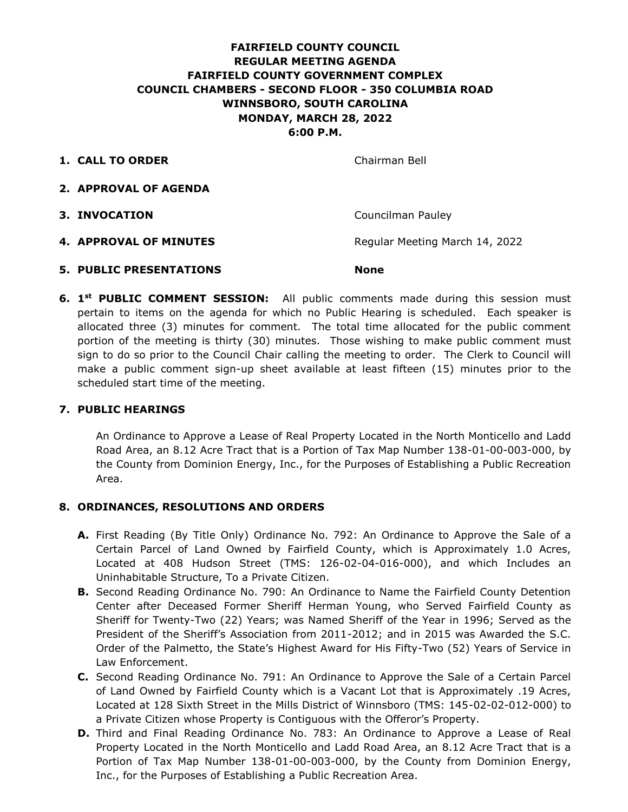# **FAIRFIELD COUNTY COUNCIL REGULAR MEETING AGENDA FAIRFIELD COUNTY GOVERNMENT COMPLEX COUNCIL CHAMBERS - SECOND FLOOR - 350 COLUMBIA ROAD WINNSBORO, SOUTH CAROLINA MONDAY, MARCH 28, 2022 6:00 P.M.**

**1. CALL TO ORDER** Chairman Bell

- **2. APPROVAL OF AGENDA**
- 

**3. INVOCATION Councilman Pauley** 

- **4. APPROVAL OF MINUTES** Regular Meeting March 14, 2022
- **5. PUBLIC PRESENTATIONS None**
- **6. 1<sup>st</sup> PUBLIC COMMENT SESSION:** All public comments made during this session must pertain to items on the agenda for which no Public Hearing is scheduled. Each speaker is allocated three (3) minutes for comment. The total time allocated for the public comment portion of the meeting is thirty (30) minutes. Those wishing to make public comment must sign to do so prior to the Council Chair calling the meeting to order. The Clerk to Council will make a public comment sign-up sheet available at least fifteen (15) minutes prior to the scheduled start time of the meeting.

## **7. PUBLIC HEARINGS**

An Ordinance to Approve a Lease of Real Property Located in the North Monticello and Ladd Road Area, an 8.12 Acre Tract that is a Portion of Tax Map Number 138-01-00-003-000, by the County from Dominion Energy, Inc., for the Purposes of Establishing a Public Recreation Area.

## **8. ORDINANCES, RESOLUTIONS AND ORDERS**

- **A.** First Reading (By Title Only) Ordinance No. 792: An Ordinance to Approve the Sale of a Certain Parcel of Land Owned by Fairfield County, which is Approximately 1.0 Acres, Located at 408 Hudson Street (TMS: 126-02-04-016-000), and which Includes an Uninhabitable Structure, To a Private Citizen.
- **B.** Second Reading Ordinance No. 790: An Ordinance to Name the Fairfield County Detention Center after Deceased Former Sheriff Herman Young, who Served Fairfield County as Sheriff for Twenty-Two (22) Years; was Named Sheriff of the Year in 1996; Served as the President of the Sheriff's Association from 2011-2012; and in 2015 was Awarded the S.C. Order of the Palmetto, the State's Highest Award for His Fifty-Two (52) Years of Service in Law Enforcement.
- **C.** Second Reading Ordinance No. 791: An Ordinance to Approve the Sale of a Certain Parcel of Land Owned by Fairfield County which is a Vacant Lot that is Approximately .19 Acres, Located at 128 Sixth Street in the Mills District of Winnsboro (TMS: 145-02-02-012-000) to a Private Citizen whose Property is Contiguous with the Offeror's Property.
- **D.** Third and Final Reading Ordinance No. 783: An Ordinance to Approve a Lease of Real Property Located in the North Monticello and Ladd Road Area, an 8.12 Acre Tract that is a Portion of Tax Map Number 138-01-00-003-000, by the County from Dominion Energy, Inc., for the Purposes of Establishing a Public Recreation Area.